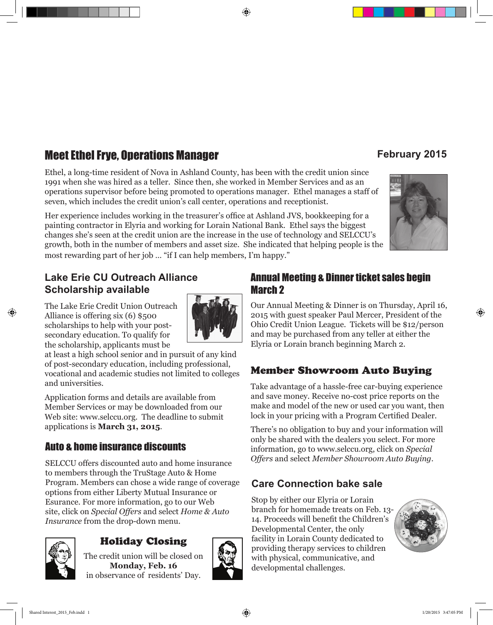## **Meet Ethel Frye, Operations Manager and Secure 10 February 2015**

**Lake Erie CU Outreach Alliance** 

The Lake Erie Credit Union Outreach Alliance is offering six (6) \$500 scholarships to help with your postsecondary education. To qualify for the scholarship, applicants must be

**Scholarship available**

and universities.

Ethel, a long-time resident of Nova in Ashland County, has been with the credit union since 1991 when she was hired as a teller. Since then, she worked in Member Services and as an operations supervisor before being promoted to operations manager. Ethel manages a staff of seven, which includes the credit union's call center, operations and receptionist.

Her experience includes working in the treasurer's office at Ashland JVS, bookkeeping for a painting contractor in Elyria and working for Lorain National Bank. Ethel says the biggest changes she's seen at the credit union are the increase in the use of technology and SELCCU's growth, both in the number of members and asset size. She indicated that helping people is the most rewarding part of her job … "if I can help members, I'm happy."

## Annual Meeting & Dinner ticket sales begin

Our Annual Meeting & Dinner is on Thursday, April 16,

## Member Showroom Auto Buying

make and model of the new or used car you want, then

There's no obligation to buy and your information will

## **Care Connection bake sale**

Stop by either our Elyria or Lorain branch for homemade treats on Feb. 13- 14. Proceeds will benefit the Children's Developmental Center, the only facility in Lorain County dedicated to providing therapy services to children with physical, communicative, and developmental challenges.

### Shared Interest\_2015\_Feb.indd 1 1/20/2015 3:47:05 PM

Holiday Closing

SELCCU offers discounted auto and home insurance to members through the TruStage Auto & Home

at least a high school senior and in pursuit of any kind of post-secondary education, including professional, vocational and academic studies not limited to colleges

Application forms and details are available from Member Services or may be downloaded from our Web site: www.selccu.org. The deadline to submit

Program. Members can chose a wide range of coverage

options from either Liberty Mutual Insurance or Esurance. For more information, go to our Web site, click on *Special Offers* and select *Home & Auto* 

Auto & home insurance discounts

applications is **March 31, 2015**.

*Insurance* from the drop-down menu.

The credit union will be closed on **Monday, Feb. 16** in observance of residents' Day.

# March 2

2015 with guest speaker Paul Mercer, President of the Ohio Credit Union League. Tickets will be \$12/person and may be purchased from any teller at either the Elyria or Lorain branch beginning March 2.

Take advantage of a hassle-free car-buying experience and save money. Receive no-cost price reports on the lock in your pricing with a Program Certified Dealer.

only be shared with the dealers you select. For more information, go to www.selccu.org, click on *Special Offers* and select *Member Showroom Auto Buying*.



⊕